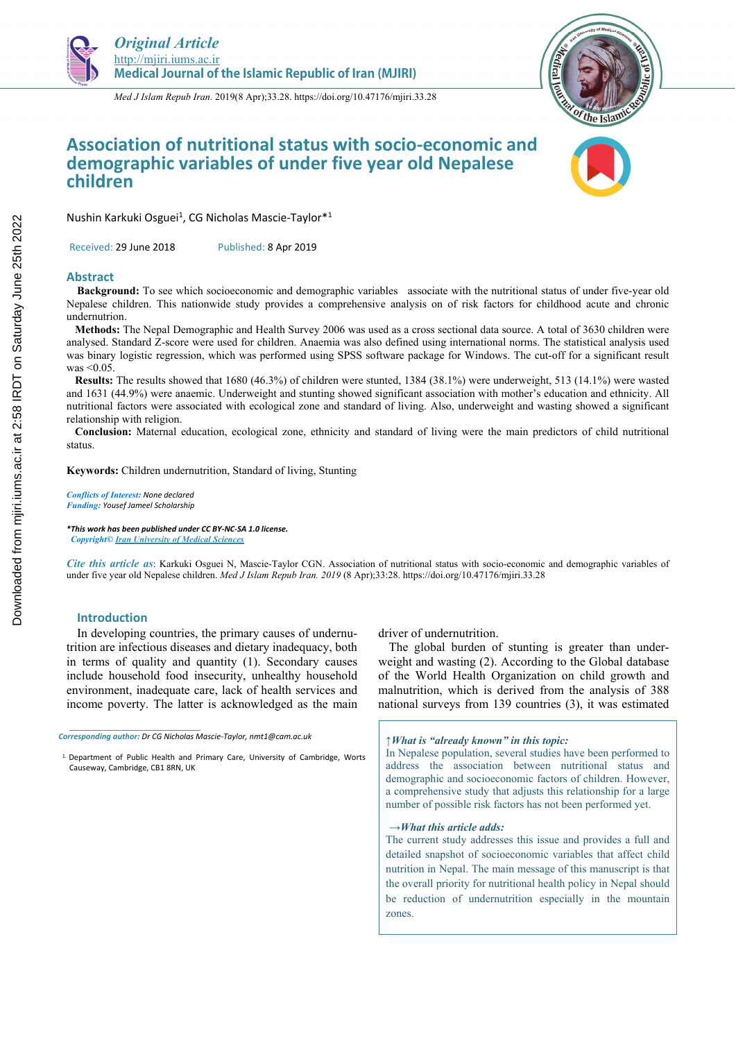

*Med J Islam Repub Iran.* 2019(8 Apr);33.28. https://doi.org/10.47176/mjiri.33.28



# **Association of nutritional status with socio-economic and demographic variables of under five year old Nepalese children**

Nushin Karkuki Osguei<sup>1</sup>, CG Nicholas Mascie-Taylor<sup>\*1</sup>

Received: 29 June 2018 Published: 8 Apr 2019

#### **Abstract**

**Background:** To see which socioeconomic and demographic variables associate with the nutritional status of under five-year old Nepalese children. This nationwide study provides a comprehensive analysis on of risk factors for childhood acute and chronic undernutrion.

 **Methods:** The Nepal Demographic and Health Survey 2006 was used as a cross sectional data source. A total of 3630 children were analysed. Standard Z-score were used for children. Anaemia was also defined using international norms. The statistical analysis used was binary logistic regression, which was performed using SPSS software package for Windows. The cut-off for a significant result was <0.05.

 **Results:** The results showed that 1680 (46.3%) of children were stunted, 1384 (38.1%) were underweight, 513 (14.1%) were wasted and 1631 (44.9%) were anaemic. Underweight and stunting showed significant association with mother's education and ethnicity. All nutritional factors were associated with ecological zone and standard of living. Also, underweight and wasting showed a significant relationship with religion.

 **Conclusion:** Maternal education, ecological zone, ethnicity and standard of living were the main predictors of child nutritional status.

**Keywords:** Children undernutrition, Standard of living, Stunting

*Conflicts of Interest: None declared Funding: Yousef Jameel Scholarship* 

*\*This work has been published under CC BY-NC-SA 1.0 license. Copyright© Iran University of Medical Sciences* 

*Cite this article as*: Karkuki Osguei N, Mascie-Taylor CGN. Association of nutritional status with socio-economic and demographic variables of under five year old Nepalese children. *Med J Islam Repub Iran. 2019* (8 Apr);33:28. https://doi.org/10.47176/mjiri.33.28

## **Introduction**

*\_\_\_\_\_\_\_\_\_\_\_\_\_\_\_\_\_\_\_\_\_\_\_\_\_\_\_\_\_\_* 

In developing countries, the primary causes of undernutrition are infectious diseases and dietary inadequacy, both in terms of quality and quantity (1). Secondary causes include household food insecurity, unhealthy household environment, inadequate care, lack of health services and income poverty. The latter is acknowledged as the main

driver of undernutrition.

The global burden of stunting is greater than underweight and wasting (2). According to the Global database of the World Health Organization on child growth and malnutrition, which is derived from the analysis of 388 national surveys from 139 countries (3), it was estimated

#### *↑What is "already known" in this topic:*

In Nepalese population, several studies have been performed to address the association between nutritional status and demographic and socioeconomic factors of children. However, a comprehensive study that adjusts this relationship for a large number of possible risk factors has not been performed yet.

#### *→What this article adds:*

The current study addresses this issue and provides a full and detailed snapshot of socioeconomic variables that affect child nutrition in Nepal. The main message of this manuscript is that the overall priority for nutritional health policy in Nepal should be reduction of undernutrition especially in the mountain zones.

*Corresponding author: Dr CG Nicholas Mascie-Taylor, nmt1@cam.ac.uk* 

<sup>1.</sup> Department of Public Health and Primary Care, University of Cambridge, Worts Causeway, Cambridge, CB1 8RN, UK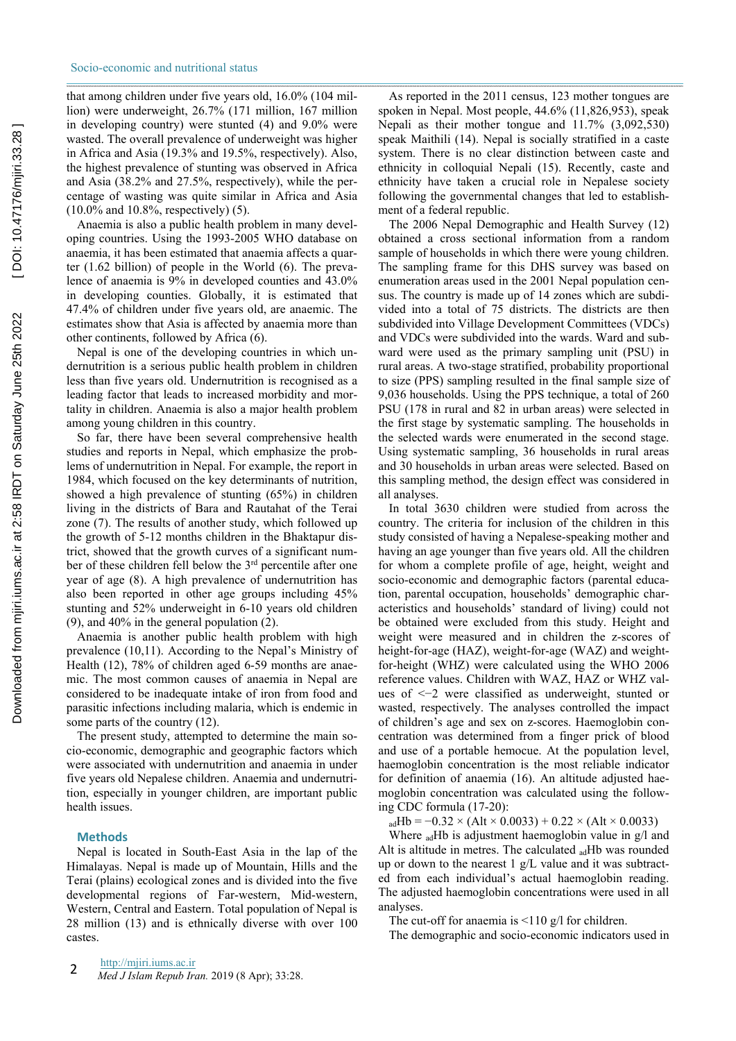that among children under five years old, 16.0% (104 million) were underweight, 26.7% (171 million, 167 million in developing country) were stunted (4) and 9.0% were wasted. The overall prevalence of underweight was higher in Africa and Asia (19.3% and 19.5%, respectively). Also, the highest prevalence of stunting was observed in Africa and Asia (38.2% and 27.5%, respectively), while the percentage of wasting was quite similar in Africa and Asia (10.0% and 10.8%, respectively) (5).

Anaemia is also a public health problem in many developing countries. Using the 1993-2005 WHO database on anaemia, it has been estimated that anaemia affects a quarter (1.62 billion) of people in the World (6). The prevalence of anaemia is 9% in developed counties and 43.0% in developing counties. Globally, it is estimated that 47.4% of children under five years old, are anaemic. The estimates show that Asia is affected by anaemia more than other continents, followed by Africa (6).

Nepal is one of the developing countries in which undernutrition is a serious public health problem in children less than five years old. Undernutrition is recognised as a leading factor that leads to increased morbidity and mortality in children. Anaemia is also a major health problem among young children in this country.

So far, there have been several comprehensive health studies and reports in Nepal, which emphasize the problems of undernutrition in Nepal. For example, the report in 1984, which focused on the key determinants of nutrition, showed a high prevalence of stunting (65%) in children living in the districts of Bara and Rautahat of the Terai zone (7). The results of another study, which followed up the growth of 5-12 months children in the Bhaktapur district, showed that the growth curves of a significant number of these children fell below the 3<sup>rd</sup> percentile after one year of age (8). A high prevalence of undernutrition has also been reported in other age groups including 45% stunting and 52% underweight in 6-10 years old children (9), and 40% in the general population (2).

Anaemia is another public health problem with high prevalence (10,11). According to the Nepal's Ministry of Health (12), 78% of children aged 6-59 months are anaemic. The most common causes of anaemia in Nepal are considered to be inadequate intake of iron from food and parasitic infections including malaria, which is endemic in some parts of the country (12).

The present study, attempted to determine the main socio-economic, demographic and geographic factors which were associated with undernutrition and anaemia in under five years old Nepalese children. Anaemia and undernutrition, especially in younger children, are important public health issues.

## **Methods**

Nepal is located in South-East Asia in the lap of the Himalayas. Nepal is made up of Mountain, Hills and the Terai (plains) ecological zones and is divided into the five developmental regions of Far-western, Mid-western, Western, Central and Eastern. Total population of Nepal is 28 million (13) and is ethnically diverse with over 100 castes.

As reported in the 2011 census, 123 mother tongues are spoken in Nepal. Most people, 44.6% (11,826,953), speak Nepali as their mother tongue and 11.7% (3,092,530) speak Maithili (14). Nepal is socially stratified in a caste system. There is no clear distinction between caste and ethnicity in colloquial Nepali (15). Recently, caste and ethnicity have taken a crucial role in Nepalese society following the governmental changes that led to establishment of a federal republic.

The 2006 Nepal Demographic and Health Survey (12) obtained a cross sectional information from a random sample of households in which there were young children. The sampling frame for this DHS survey was based on enumeration areas used in the 2001 Nepal population census. The country is made up of 14 zones which are subdivided into a total of 75 districts. The districts are then subdivided into Village Development Committees (VDCs) and VDCs were subdivided into the wards. Ward and subward were used as the primary sampling unit (PSU) in rural areas. A two-stage stratified, probability proportional to size (PPS) sampling resulted in the final sample size of 9,036 households. Using the PPS technique, a total of 260 PSU (178 in rural and 82 in urban areas) were selected in the first stage by systematic sampling. The households in the selected wards were enumerated in the second stage. Using systematic sampling, 36 households in rural areas and 30 households in urban areas were selected. Based on this sampling method, the design effect was considered in all analyses.

In total 3630 children were studied from across the country. The criteria for inclusion of the children in this study consisted of having a Nepalese-speaking mother and having an age younger than five years old. All the children for whom a complete profile of age, height, weight and socio-economic and demographic factors (parental education, parental occupation, households' demographic characteristics and households' standard of living) could not be obtained were excluded from this study. Height and weight were measured and in children the z-scores of height-for-age (HAZ), weight-for-age (WAZ) and weightfor-height (WHZ) were calculated using the WHO 2006 reference values. Children with WAZ, HAZ or WHZ values of <−2 were classified as underweight, stunted or wasted, respectively. The analyses controlled the impact of children's age and sex on z-scores. Haemoglobin concentration was determined from a finger prick of blood and use of a portable hemocue. At the population level, haemoglobin concentration is the most reliable indicator for definition of anaemia (16). An altitude adjusted haemoglobin concentration was calculated using the following CDC formula (17-20):

 $_{\text{ad}}Hb = -0.32 \times (Alt \times 0.0033) + 0.22 \times (Alt \times 0.0033)$ 

Where <sub>ad</sub>Hb is adjustment haemoglobin value in g/l and Alt is altitude in metres. The calculated  $_{ad}$ Hb was rounded up or down to the nearest 1 g/L value and it was subtracted from each individual's actual haemoglobin reading. The adjusted haemoglobin concentrations were used in all analyses.

The cut-off for anaemia is  $\leq 110$  g/l for children.

The demographic and socio-economic indicators used in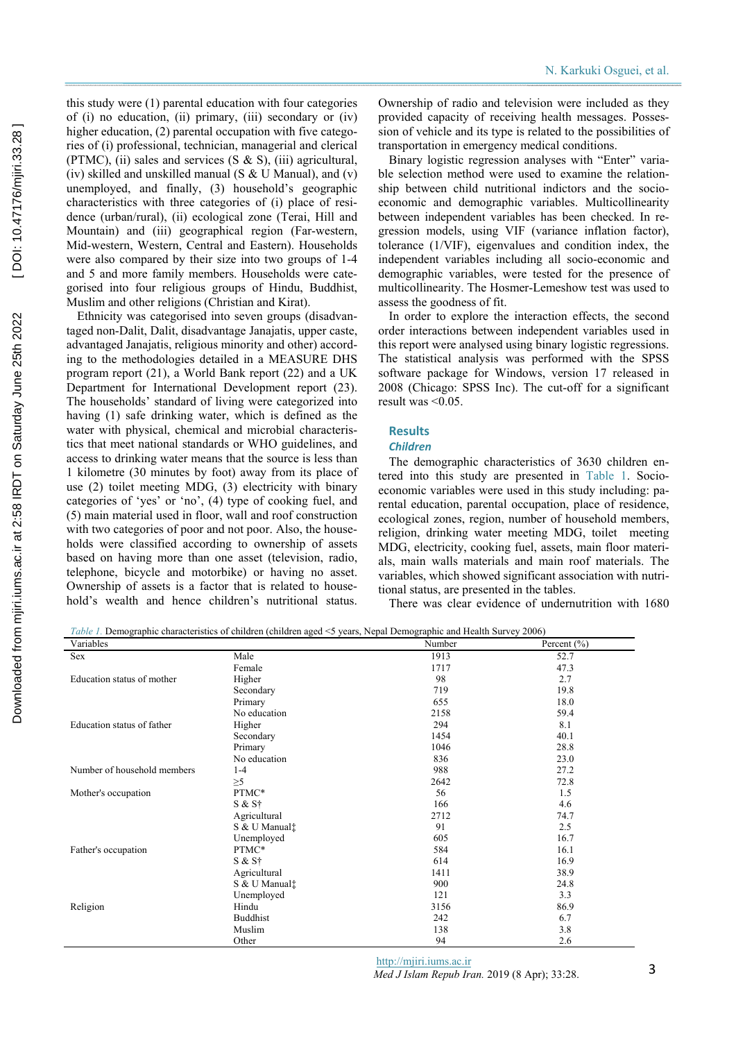this study were (1) parental education with four categories of (i) no education, (ii) primary, (iii) secondary or (iv) higher education, (2) parental occupation with five categories of (i) professional, technician, managerial and clerical (PTMC), (ii) sales and services  $(S \& S)$ , (iii) agricultural, (iv) skilled and unskilled manual (S & U Manual), and (v) unemployed, and finally, (3) household's geographic characteristics with three categories of (i) place of residence (urban/rural), (ii) ecological zone (Terai, Hill and Mountain) and (iii) geographical region (Far-western, Mid-western, Western, Central and Eastern). Households were also compared by their size into two groups of 1-4 and 5 and more family members. Households were categorised into four religious groups of Hindu, Buddhist, Muslim and other religions (Christian and Kirat).

Ethnicity was categorised into seven groups (disadvantaged non-Dalit, Dalit, disadvantage Janajatis, upper caste, advantaged Janajatis, religious minority and other) according to the methodologies detailed in a MEASURE DHS program report (21), a World Bank report (22) and a UK Department for International Development report (23). The households' standard of living were categorized into having (1) safe drinking water, which is defined as the water with physical, chemical and microbial characteristics that meet national standards or WHO guidelines, and access to drinking water means that the source is less than 1 kilometre (30 minutes by foot) away from its place of use (2) toilet meeting MDG, (3) electricity with binary categories of 'yes' or 'no', (4) type of cooking fuel, and (5) main material used in floor, wall and roof construction with two categories of poor and not poor. Also, the households were classified according to ownership of assets based on having more than one asset (television, radio, telephone, bicycle and motorbike) or having no asset. Ownership of assets is a factor that is related to household's wealth and hence children's nutritional status.

Ownership of radio and television were included as they provided capacity of receiving health messages. Possession of vehicle and its type is related to the possibilities of transportation in emergency medical conditions.

Binary logistic regression analyses with "Enter" variable selection method were used to examine the relationship between child nutritional indictors and the socioeconomic and demographic variables. Multicollinearity between independent variables has been checked. In regression models, using VIF (variance inflation factor), tolerance (1/VIF), eigenvalues and condition index, the independent variables including all socio-economic and demographic variables, were tested for the presence of multicollinearity. The Hosmer-Lemeshow test was used to assess the goodness of fit.

In order to explore the interaction effects, the second order interactions between independent variables used in this report were analysed using binary logistic regressions. The statistical analysis was performed with the SPSS software package for Windows, version 17 released in 2008 (Chicago: SPSS Inc). The cut-off for a significant result was <0.05.

## **Results**

#### *Children*

The demographic characteristics of 3630 children entered into this study are presented in Table 1. Socioeconomic variables were used in this study including: parental education, parental occupation, place of residence, ecological zones, region, number of household members, religion, drinking water meeting MDG, toilet meeting MDG, electricity, cooking fuel, assets, main floor materials, main walls materials and main roof materials. The variables, which showed significant association with nutritional status, are presented in the tables.

There was clear evidence of undernutrition with 1680

*Table 1.* Demographic characteristics of children (children aged <5 years, Nepal Demographic and Health Survey 2006)

| Variables                   |                           | Number | Percent $(\% )$ |
|-----------------------------|---------------------------|--------|-----------------|
| Sex                         | Male                      | 1913   | 52.7            |
|                             | Female                    | 1717   | 47.3            |
| Education status of mother  | Higher                    | 98     | 2.7             |
|                             | Secondary                 | 719    | 19.8            |
|                             | Primary                   | 655    | 18.0            |
|                             | No education              | 2158   | 59.4            |
| Education status of father  | Higher                    | 294    | 8.1             |
|                             | Secondary                 | 1454   | 40.1            |
|                             | Primary                   | 1046   | 28.8            |
|                             | No education              | 836    | 23.0            |
| Number of household members | $1-4$                     | 988    | 27.2            |
|                             | $\geq 5$                  | 2642   | 72.8            |
| Mother's occupation         | PTMC*                     | 56     | 1.5             |
|                             | $S & S^+$                 | 166    | 4.6             |
|                             | Agricultural              | 2712   | 74.7            |
|                             | S & U Manual:             | 91     | 2.5             |
|                             | Unemployed                | 605    | 16.7            |
| Father's occupation         | PTMC*                     | 584    | 16.1            |
|                             | $S & S^+$                 | 614    | 16.9            |
|                             | Agricultural              | 1411   | 38.9            |
|                             | S & U Manual <sup>†</sup> | 900    | 24.8            |
|                             | Unemployed                | 121    | 3.3             |
| Religion                    | Hindu                     | 3156   | 86.9            |
|                             | <b>Buddhist</b>           | 242    | 6.7             |
|                             | Muslim                    | 138    | 3.8             |
|                             | Other                     | 94     | 2.6             |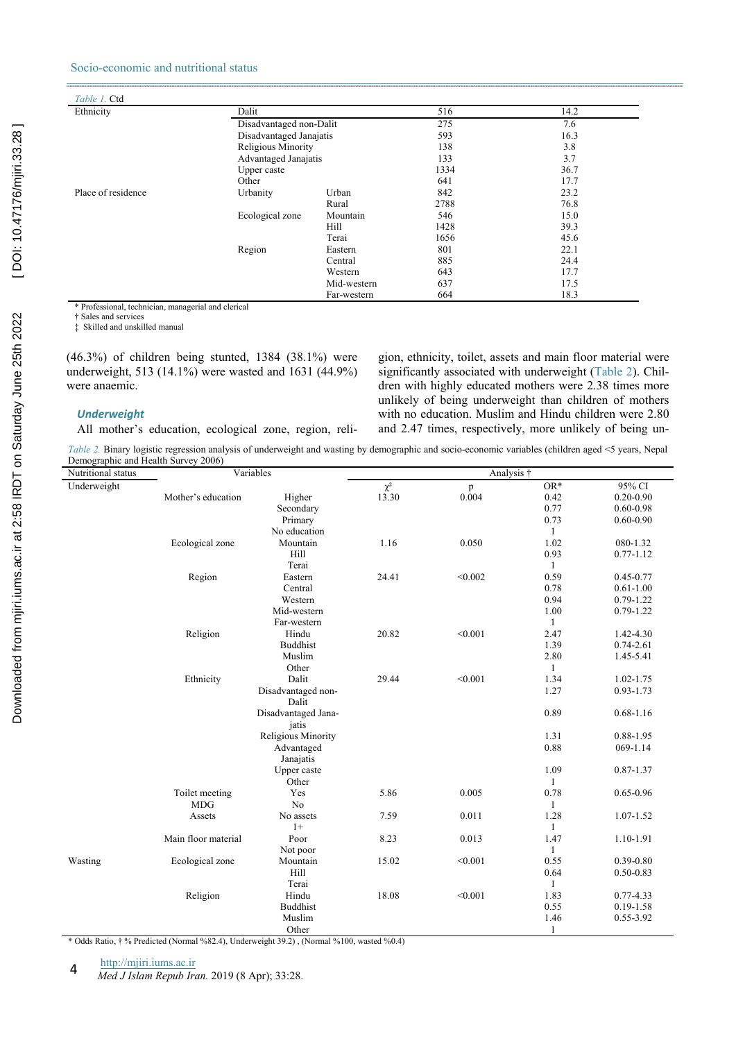# Socio-economic and nutritional status

| Table 1. Ctd       |                         |             |      |      |
|--------------------|-------------------------|-------------|------|------|
| Ethnicity          | Dalit                   |             | 516  | 14.2 |
|                    | Disadvantaged non-Dalit |             | 275  | 7.6  |
|                    | Disadvantaged Janajatis |             | 593  | 16.3 |
|                    | Religious Minority      |             | 138  | 3.8  |
|                    | Advantaged Janajatis    |             | 133  | 3.7  |
|                    | Upper caste             |             | 1334 | 36.7 |
|                    | Other                   |             | 641  | 17.7 |
| Place of residence | Urbanity                | Urban       | 842  | 23.2 |
|                    |                         | Rural       | 2788 | 76.8 |
|                    | Ecological zone         | Mountain    | 546  | 15.0 |
|                    |                         | Hill        | 1428 | 39.3 |
|                    |                         | Terai       | 1656 | 45.6 |
|                    | Region                  | Eastern     | 801  | 22.1 |
|                    |                         | Central     | 885  | 24.4 |
|                    |                         | Western     | 643  | 17.7 |
|                    |                         | Mid-western | 637  | 17.5 |
|                    |                         | Far-western | 664  | 18.3 |

\* Professional, technician, managerial and clerical

† Sales and services

‡ Skilled and unskilled manual

(46.3%) of children being stunted, 1384 (38.1%) were underweight, 513 (14.1%) were wasted and 1631 (44.9%) were anaemic.

## *Underweight*

All mother's education, ecological zone, region, reli-

gion, ethnicity, toilet, assets and main floor material were significantly associated with underweight (Table 2). Children with highly educated mothers were 2.38 times more unlikely of being underweight than children of mothers with no education. Muslim and Hindu children were 2.80 and 2.47 times, respectively, more unlikely of being un-

*Table 2.* Binary logistic regression analysis of underweight and wasting by demographic and socio-economic variables (children aged <5 years, Nepal Demographic and Health Survey 2006)

| Nutritional status | Variables           |                     | Analysis † |              |              |               |
|--------------------|---------------------|---------------------|------------|--------------|--------------|---------------|
| Underweight        |                     |                     | $\chi^2$   | $\mathbf{p}$ | $OR*$        | 95% CI        |
|                    | Mother's education  | Higher              | 13.30      | 0.004        | 0.42         | $0.20 - 0.90$ |
|                    |                     | Secondary           |            |              | 0.77         | $0.60 - 0.98$ |
|                    |                     | Primary             |            |              | 0.73         | $0.60 - 0.90$ |
|                    |                     | No education        |            |              | $\mathbf{1}$ |               |
|                    | Ecological zone     | Mountain            | 1.16       | 0.050        | 1.02         | 080-1.32      |
|                    |                     | Hill                |            |              | 0.93         | $0.77 - 1.12$ |
|                    |                     | Terai               |            |              | $\mathbf{1}$ |               |
|                    | Region              | Eastern             | 24.41      | < 0.002      | 0.59         | $0.45 - 0.77$ |
|                    |                     | Central             |            |              | 0.78         | $0.61 - 1.00$ |
|                    |                     | Western             |            |              | 0.94         | $0.79 - 1.22$ |
|                    |                     | Mid-western         |            |              | 1.00         | $0.79 - 1.22$ |
|                    |                     | Far-western         |            |              | 1            |               |
|                    | Religion            | Hindu               | 20.82      | < 0.001      | 2.47         | 1.42-4.30     |
|                    |                     | <b>Buddhist</b>     |            |              | 1.39         | $0.74 - 2.61$ |
|                    |                     | Muslim              |            |              | 2.80         | 1.45-5.41     |
|                    |                     | Other               |            |              | $\mathbf{1}$ |               |
|                    | Ethnicity           | Dalit               | 29.44      | < 0.001      | 1.34         | $1.02 - 1.75$ |
|                    |                     | Disadvantaged non-  |            |              | 1.27         | $0.93 - 1.73$ |
|                    |                     | Dalit               |            |              |              |               |
|                    |                     | Disadvantaged Jana- |            |              | 0.89         | $0.68 - 1.16$ |
|                    |                     | jatis               |            |              |              |               |
|                    |                     | Religious Minority  |            |              | 1.31         | 0.88-1.95     |
|                    |                     | Advantaged          |            |              | 0.88         | 069-1.14      |
|                    |                     | Janajatis           |            |              |              |               |
|                    |                     | Upper caste         |            |              | 1.09         | $0.87 - 1.37$ |
|                    |                     | Other               |            |              | 1            |               |
|                    | Toilet meeting      | Yes                 | 5.86       | 0.005        | 0.78         | $0.65 - 0.96$ |
|                    | <b>MDG</b>          | N <sub>0</sub>      |            |              | 1            |               |
|                    | Assets              | No assets           | 7.59       | 0.011        | 1.28         | 1.07-1.52     |
|                    |                     | $1+$                |            |              | $\mathbf{1}$ |               |
|                    | Main floor material | Poor                | 8.23       | 0.013        | 1.47         | 1.10-1.91     |
|                    |                     | Not poor            |            |              | $\mathbf{1}$ |               |
| Wasting            | Ecological zone     | Mountain            | 15.02      | < 0.001      | 0.55         | $0.39 - 0.80$ |
|                    |                     | Hill                |            |              | 0.64         | $0.50 - 0.83$ |
|                    |                     | Terai               |            |              | 1            |               |
|                    | Religion            | Hindu               | 18.08      | < 0.001      | 1.83         | $0.77 - 4.33$ |
|                    |                     | <b>Buddhist</b>     |            |              | 0.55         | $0.19 - 1.58$ |
|                    |                     | Muslim              |            |              | 1.46         | 0.55-3.92     |
|                    |                     | Other               |            |              | 1            |               |

\* Odds Ratio, † % Predicted (Normal %82.4), Underweight 39.2) , (Normal %100, wasted %0.4)

http://mjiri.iums.ac.ir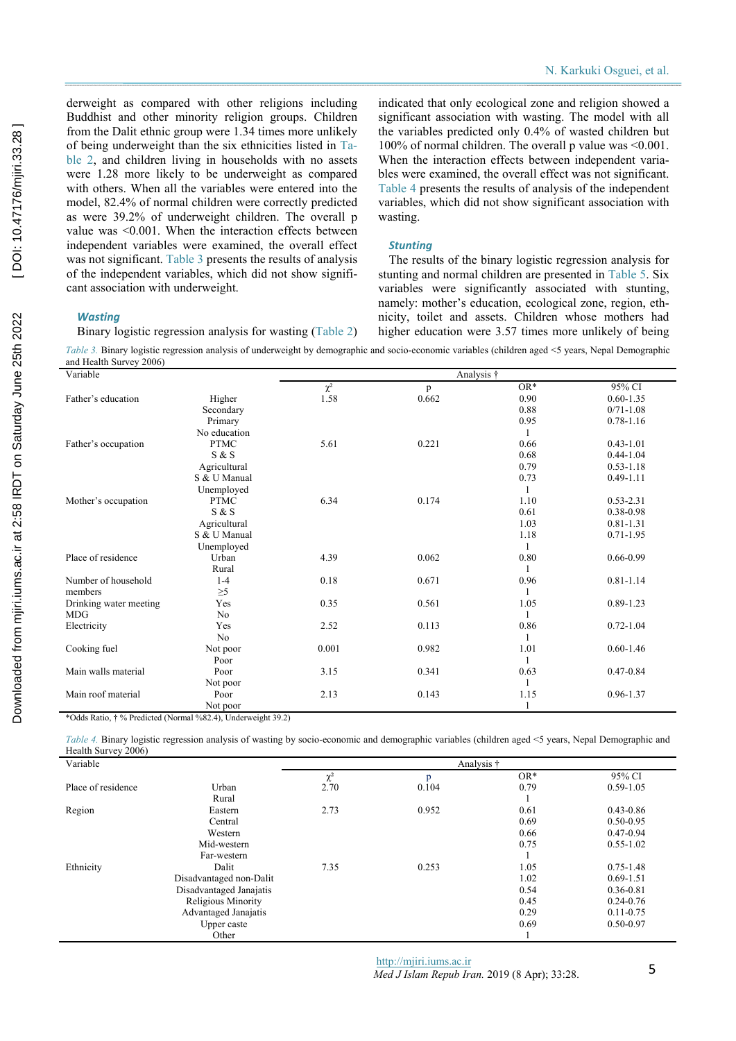derweight as compared with other religions including Buddhist and other minority religion groups. Children from the Dalit ethnic group were 1.34 times more unlikely of being underweight than the six ethnicities listed in Table 2, and children living in households with no assets were 1.28 more likely to be underweight as compared with others. When all the variables were entered into the model, 82.4% of normal children were correctly predicted as were 39.2% of underweight children. The overall p value was <0.001. When the interaction effects between independent variables were examined, the overall effect was not significant. Table 3 presents the results of analysis of the independent variables, which did not show significant association with underweight.

Binary logistic regression analysis for wasting (Table 2)

indicated that only ecological zone and religion showed a significant association with wasting. The model with all the variables predicted only 0.4% of wasted children but 100% of normal children. The overall p value was  $\leq 0.001$ . When the interaction effects between independent variables were examined, the overall effect was not significant. Table 4 presents the results of analysis of the independent variables, which did not show significant association with wasting.

#### *Stunting*

The results of the binary logistic regression analysis for stunting and normal children are presented in Table 5. Six variables were significantly associated with stunting, namely: mother's education, ecological zone, region, ethnicity, toilet and assets. Children whose mothers had higher education were 3.57 times more unlikely of being

*Table 3.* Binary logistic regression analysis of underweight by demographic and socio-economic variables (children aged <5 years, Nepal Demographic

| and Health Survey 2006) |                |          |            |       |               |
|-------------------------|----------------|----------|------------|-------|---------------|
| Variable                |                |          | Analysis † |       |               |
|                         |                | $\chi^2$ | p          | $OR*$ | 95% CI        |
| Father's education      | Higher         | 1.58     | 0.662      | 0.90  | $0.60 - 1.35$ |
|                         | Secondary      |          |            | 0.88  | $0/71 - 1.08$ |
|                         | Primary        |          |            | 0.95  | $0.78 - 1.16$ |
|                         | No education   |          |            | -1    |               |
| Father's occupation     | <b>PTMC</b>    | 5.61     | 0.221      | 0.66  | $0.43 - 1.01$ |
|                         | S & S          |          |            | 0.68  | $0.44 - 1.04$ |
|                         | Agricultural   |          |            | 0.79  | $0.53 - 1.18$ |
|                         | S & U Manual   |          |            | 0.73  | $0.49 - 1.11$ |
|                         | Unemployed     |          |            | -1    |               |
| Mother's occupation     | <b>PTMC</b>    | 6.34     | 0.174      | 1.10  | $0.53 - 2.31$ |
|                         | S & S          |          |            | 0.61  | 0.38-0.98     |
|                         | Agricultural   |          |            | 1.03  | $0.81 - 1.31$ |
|                         | S & U Manual   |          |            | 1.18  | $0.71 - 1.95$ |
|                         | Unemployed     |          |            | 1     |               |
| Place of residence      | Urban          | 4.39     | 0.062      | 0.80  | $0.66 - 0.99$ |
|                         | Rural          |          |            | 1     |               |
| Number of household     | $1-4$          | 0.18     | 0.671      | 0.96  | $0.81 - 1.14$ |
| members                 | $\geq 5$       |          |            |       |               |
| Drinking water meeting  | Yes            | 0.35     | 0.561      | 1.05  | 0.89-1.23     |
| <b>MDG</b>              | N <sub>o</sub> |          |            | 1     |               |
| Electricity             | Yes            | 2.52     | 0.113      | 0.86  | $0.72 - 1.04$ |
|                         | N <sub>0</sub> |          |            |       |               |
| Cooking fuel            | Not poor       | 0.001    | 0.982      | 1.01  | $0.60 - 1.46$ |
|                         | Poor           |          |            |       |               |
| Main walls material     | Poor           | 3.15     | 0.341      | 0.63  | $0.47 - 0.84$ |
|                         | Not poor       |          |            |       |               |
| Main roof material      | Poor           | 2.13     | 0.143      | 1.15  | 0.96-1.37     |
|                         | Not poor       |          |            |       |               |

\*Odds Ratio, † % Predicted (Normal %82.4), Underweight 39.2)

*Table 4.* Binary logistic regression analysis of wasting by socio-economic and demographic variables (children aged <5 years, Nepal Demographic and Health Survey 2006)

| Variable           |                         |          | Analysis † |       |               |
|--------------------|-------------------------|----------|------------|-------|---------------|
|                    |                         | $\chi^2$ | p          | $OR*$ | 95% CI        |
| Place of residence | Urban                   | 2.70     | 0.104      | 0.79  | $0.59 - 1.05$ |
|                    | Rural                   |          |            |       |               |
| Region             | Eastern                 | 2.73     | 0.952      | 0.61  | $0.43 - 0.86$ |
|                    | Central                 |          |            | 0.69  | $0.50 - 0.95$ |
|                    | Western                 |          |            | 0.66  | $0.47 - 0.94$ |
|                    | Mid-western             |          |            | 0.75  | $0.55 - 1.02$ |
|                    | Far-western             |          |            |       |               |
| Ethnicity          | Dalit                   | 7.35     | 0.253      | 1.05  | $0.75 - 1.48$ |
|                    | Disadvantaged non-Dalit |          |            | 1.02  | $0.69 - 1.51$ |
|                    | Disadvantaged Janajatis |          |            | 0.54  | 0.36-0.81     |
|                    | Religious Minority      |          |            | 0.45  | $0.24 - 0.76$ |
|                    | Advantaged Janajatis    |          |            | 0.29  | $0.11 - 0.75$ |
|                    | Upper caste             |          |            | 0.69  | 0.50-0.97     |
|                    | Other                   |          |            |       |               |

[DOI: 10.47176/mjiri.33.28]

*Wasting*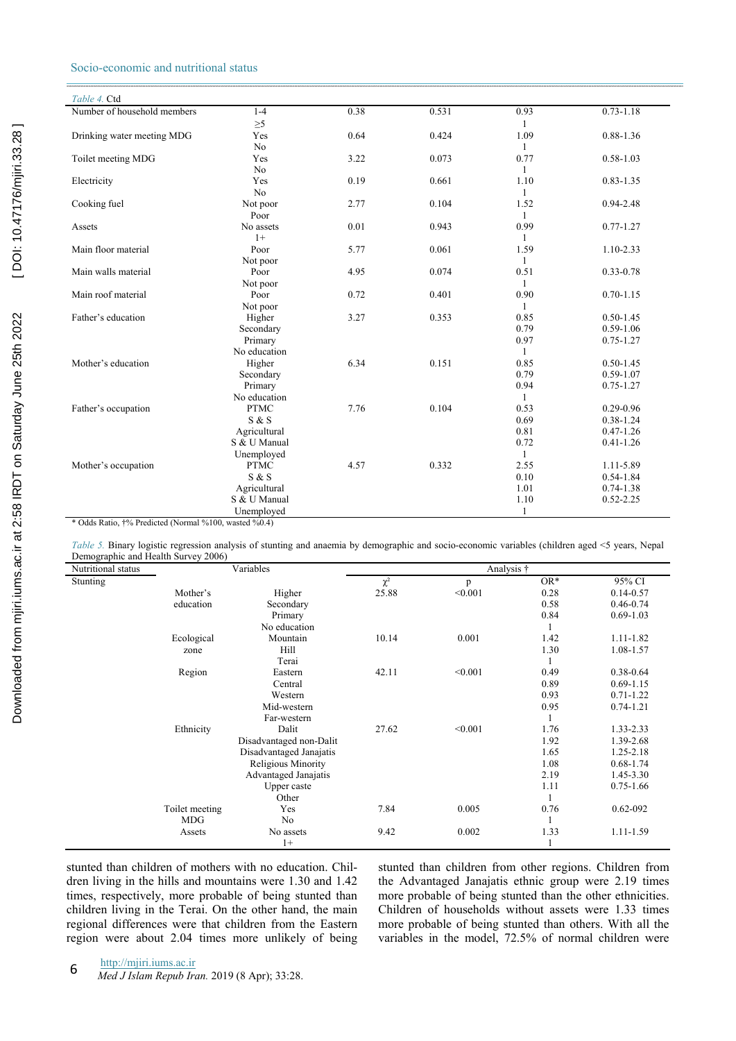# Socio-economic and nutritional status

| Table 4. Ctd                                          |                |      |       |              |               |
|-------------------------------------------------------|----------------|------|-------|--------------|---------------|
| Number of household members                           | $1 - 4$        | 0.38 | 0.531 | 0.93         | $0.73 - 1.18$ |
|                                                       | $\geq 5$       |      |       | 1            |               |
| Drinking water meeting MDG                            | Yes            | 0.64 | 0.424 | 1.09         | 0.88-1.36     |
|                                                       | N <sub>0</sub> |      |       | 1            |               |
| Toilet meeting MDG                                    | Yes            | 3.22 | 0.073 | 0.77         | $0.58 - 1.03$ |
|                                                       | No             |      |       | 1            |               |
| Electricity                                           | Yes            | 0.19 | 0.661 | 1.10         | $0.83 - 1.35$ |
|                                                       | No             |      |       | 1            |               |
| Cooking fuel                                          | Not poor       | 2.77 | 0.104 | 1.52         | 0.94-2.48     |
|                                                       | Poor           |      |       | $\mathbf{1}$ |               |
| Assets                                                | No assets      | 0.01 | 0.943 | 0.99         | $0.77 - 1.27$ |
|                                                       | $1+$           |      |       | $\mathbf{1}$ |               |
| Main floor material                                   | Poor           | 5.77 | 0.061 | 1.59         | 1.10-2.33     |
|                                                       | Not poor       |      |       | 1            |               |
| Main walls material                                   | Poor           | 4.95 | 0.074 | 0.51         | $0.33 - 0.78$ |
|                                                       | Not poor       |      |       | $\mathbf{1}$ |               |
| Main roof material                                    | Poor           | 0.72 | 0.401 | 0.90         | $0.70 - 1.15$ |
|                                                       | Not poor       |      |       | 1            |               |
| Father's education                                    | Higher         | 3.27 | 0.353 | 0.85         | $0.50 - 1.45$ |
|                                                       | Secondary      |      |       | 0.79         | $0.59 - 1.06$ |
|                                                       | Primary        |      |       | 0.97         | $0.75 - 1.27$ |
|                                                       | No education   |      |       | $\mathbf{1}$ |               |
| Mother's education                                    | Higher         | 6.34 | 0.151 | 0.85         | $0.50 - 1.45$ |
|                                                       | Secondary      |      |       | 0.79         | $0.59 - 1.07$ |
|                                                       | Primary        |      |       | 0.94         | $0.75 - 1.27$ |
|                                                       | No education   |      |       | $\mathbf{1}$ |               |
| Father's occupation                                   | <b>PTMC</b>    | 7.76 | 0.104 | 0.53         | $0.29 - 0.96$ |
|                                                       | S & S          |      |       | 0.69         | $0.38 - 1.24$ |
|                                                       | Agricultural   |      |       | 0.81         | $0.47 - 1.26$ |
|                                                       | S & U Manual   |      |       | 0.72         | $0.41 - 1.26$ |
|                                                       | Unemployed     |      |       | 1            |               |
| Mother's occupation                                   | <b>PTMC</b>    | 4.57 | 0.332 | 2.55         | 1.11-5.89     |
|                                                       | S & S          |      |       | 0.10         | $0.54 - 1.84$ |
|                                                       | Agricultural   |      |       | 1.01         | $0.74 - 1.38$ |
|                                                       | S & U Manual   |      |       | 1.10         | $0.52 - 2.25$ |
|                                                       | Unemployed     |      |       | 1            |               |
| * Odds Ratio, †% Predicted (Normal %100, wasted %0.4) |                |      |       |              |               |

*Table 5.* Binary logistic regression analysis of stunting and anaemia by demographic and socio-economic variables (children aged <5 years, Nepal Demographic and Health Survey 2006)

| $\epsilon$ . The grap mean $\epsilon$ is the set $\epsilon$ in $\epsilon$ , $\epsilon$ is the set of $\epsilon$<br>Nutritional status |                | Variables               |          | Analysis † |       |               |  |
|---------------------------------------------------------------------------------------------------------------------------------------|----------------|-------------------------|----------|------------|-------|---------------|--|
| Stunting                                                                                                                              |                |                         | $\chi^2$ | p          | $OR*$ | 95% CI        |  |
|                                                                                                                                       | Mother's       | Higher                  | 25.88    | < 0.001    | 0.28  | $0.14 - 0.57$ |  |
|                                                                                                                                       | education      | Secondary               |          |            | 0.58  | $0.46 - 0.74$ |  |
|                                                                                                                                       |                | Primary                 |          |            | 0.84  | $0.69 - 1.03$ |  |
|                                                                                                                                       |                | No education            |          |            |       |               |  |
|                                                                                                                                       | Ecological     | Mountain                | 10.14    | 0.001      | 1.42  | 1.11-1.82     |  |
|                                                                                                                                       | zone           | Hill                    |          |            | 1.30  | 1.08-1.57     |  |
|                                                                                                                                       |                | Terai                   |          |            |       |               |  |
|                                                                                                                                       | Region         | Eastern                 | 42.11    | < 0.001    | 0.49  | 0.38-0.64     |  |
|                                                                                                                                       |                | Central                 |          |            | 0.89  | $0.69 - 1.15$ |  |
|                                                                                                                                       |                | Western                 |          |            | 0.93  | $0.71 - 1.22$ |  |
|                                                                                                                                       |                | Mid-western             |          |            | 0.95  | $0.74 - 1.21$ |  |
|                                                                                                                                       |                | Far-western             |          |            |       |               |  |
|                                                                                                                                       | Ethnicity      | Dalit                   | 27.62    | < 0.001    | 1.76  | 1.33-2.33     |  |
|                                                                                                                                       |                | Disadvantaged non-Dalit |          |            | 1.92  | 1.39-2.68     |  |
|                                                                                                                                       |                | Disadvantaged Janajatis |          |            | 1.65  | $1.25 - 2.18$ |  |
|                                                                                                                                       |                | Religious Minority      |          |            | 1.08  | $0.68 - 1.74$ |  |
|                                                                                                                                       |                | Advantaged Janajatis    |          |            | 2.19  | 1.45-3.30     |  |
|                                                                                                                                       |                | Upper caste             |          |            | 1.11  | $0.75 - 1.66$ |  |
|                                                                                                                                       |                | Other                   |          |            |       |               |  |
|                                                                                                                                       | Toilet meeting | Yes                     | 7.84     | 0.005      | 0.76  | $0.62 - 092$  |  |
|                                                                                                                                       | <b>MDG</b>     | N <sub>0</sub>          |          |            |       |               |  |
|                                                                                                                                       | Assets         | No assets               | 9.42     | 0.002      | 1.33  | 1.11-1.59     |  |
|                                                                                                                                       |                | $1+$                    |          |            |       |               |  |

stunted than children of mothers with no education. Children living in the hills and mountains were 1.30 and 1.42 times, respectively, more probable of being stunted than children living in the Terai. On the other hand, the main regional differences were that children from the Eastern region were about 2.04 times more unlikely of being stunted than children from other regions. Children from the Advantaged Janajatis ethnic group were 2.19 times more probable of being stunted than the other ethnicities. Children of households without assets were 1.33 times more probable of being stunted than others. With all the variables in the model, 72.5% of normal children were

http://mjiri.iums.ac.ir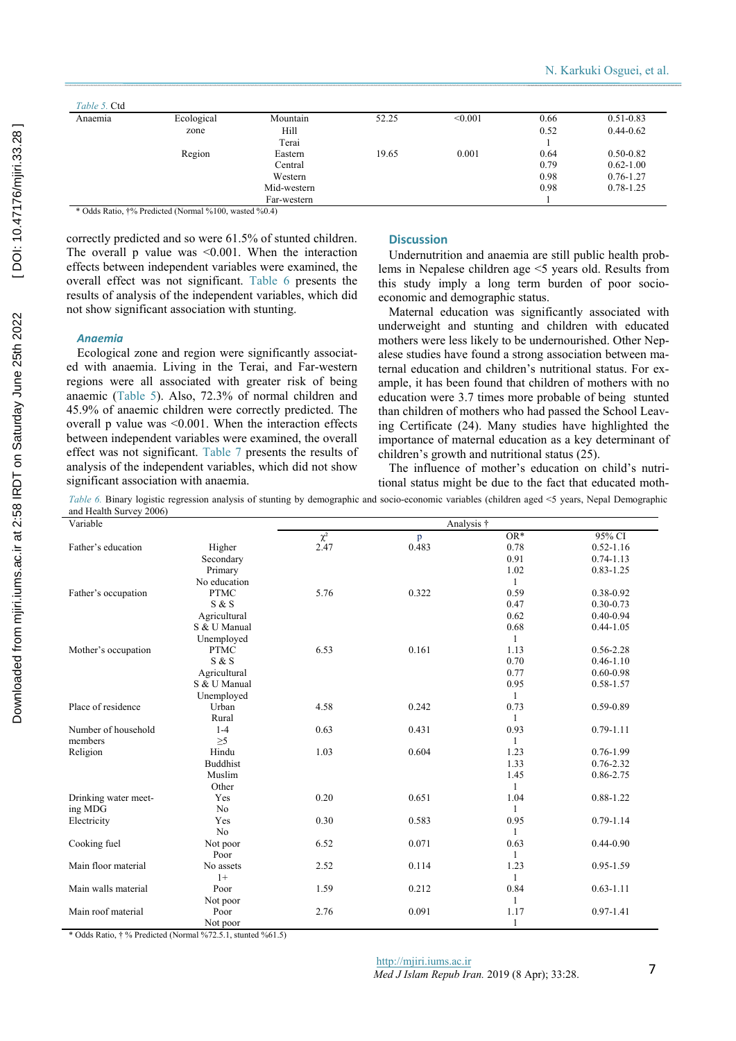| Anaemia | Ecological | Mountain    | 52.25 | < 0.001 | 0.66 | $0.51 - 0.83$ |
|---------|------------|-------------|-------|---------|------|---------------|
|         | zone       | Hill        |       |         | 0.52 | $0.44 - 0.62$ |
|         |            | Terai       |       |         |      |               |
|         | Region     | Eastern     | 19.65 | 0.001   | 0.64 | $0.50 - 0.82$ |
|         |            | Central     |       |         | 0.79 | $0.62 - 1.00$ |
|         |            | Western     |       |         | 0.98 | $0.76 - 1.27$ |
|         |            | Mid-western |       |         | 0.98 | $0.78 - 1.25$ |
|         |            | Far-western |       |         |      |               |

\* Odds Ratio, †% Predicted (Normal %100, wasted %0.4)

correctly predicted and so were 61.5% of stunted children. The overall p value was <0.001. When the interaction effects between independent variables were examined, the overall effect was not significant. Table 6 presents the results of analysis of the independent variables, which did not show significant association with stunting.

## *Anaemia*

Ecological zone and region were significantly associated with anaemia. Living in the Terai, and Far-western regions were all associated with greater risk of being anaemic (Table 5). Also, 72.3% of normal children and 45.9% of anaemic children were correctly predicted. The overall p value was <0.001. When the interaction effects between independent variables were examined, the overall effect was not significant. Table 7 presents the results of analysis of the independent variables, which did not show significant association with anaemia.

## **Discussion**

Undernutrition and anaemia are still public health problems in Nepalese children age <5 years old. Results from this study imply a long term burden of poor socioeconomic and demographic status.

Maternal education was significantly associated with underweight and stunting and children with educated mothers were less likely to be undernourished. Other Nepalese studies have found a strong association between maternal education and children's nutritional status. For example, it has been found that children of mothers with no education were 3.7 times more probable of being stunted than children of mothers who had passed the School Leaving Certificate (24). Many studies have highlighted the importance of maternal education as a key determinant of children's growth and nutritional status (25).

The influence of mother's education on child's nutritional status might be due to the fact that educated moth-

*Table 6.* Binary logistic regression analysis of stunting by demographic and socio-economic variables (children aged <5 years, Nepal Demographic and Health Survey 2006)

| Variable             |                 |          |       | Analysis †   |               |
|----------------------|-----------------|----------|-------|--------------|---------------|
|                      |                 | $\chi^2$ | p     | $OR*$        | 95% CI        |
| Father's education   | Higher          | 2.47     | 0.483 | 0.78         | $0.52 - 1.16$ |
|                      | Secondary       |          |       | 0.91         | $0.74 - 1.13$ |
|                      | Primary         |          |       | 1.02         | $0.83 - 1.25$ |
|                      | No education    |          |       | $\mathbf{1}$ |               |
| Father's occupation  | <b>PTMC</b>     | 5.76     | 0.322 | 0.59         | 0.38-0.92     |
|                      | S & S           |          |       | 0.47         | $0.30 - 0.73$ |
|                      | Agricultural    |          |       | 0.62         | $0.40 - 0.94$ |
|                      | S & U Manual    |          |       | 0.68         | $0.44 - 1.05$ |
|                      | Unemployed      |          |       | 1            |               |
| Mother's occupation  | <b>PTMC</b>     | 6.53     | 0.161 | 1.13         | $0.56 - 2.28$ |
|                      | S & S           |          |       | 0.70         | $0.46 - 1.10$ |
|                      | Agricultural    |          |       | 0.77         | $0.60 - 0.98$ |
|                      | S & U Manual    |          |       | 0.95         | 0.58-1.57     |
|                      | Unemployed      |          |       | 1            |               |
| Place of residence   | Urban           | 4.58     | 0.242 | 0.73         | $0.59 - 0.89$ |
|                      | Rural           |          |       | 1            |               |
| Number of household  | $1 - 4$         | 0.63     | 0.431 | 0.93         | $0.79 - 1.11$ |
| members              | $\geq 5$        |          |       | 1            |               |
| Religion             | Hindu           | 1.03     | 0.604 | 1.23         | $0.76 - 1.99$ |
|                      | <b>Buddhist</b> |          |       | 1.33         | $0.76 - 2.32$ |
|                      | Muslim          |          |       | 1.45         | 0.86-2.75     |
|                      | Other           |          |       | 1            |               |
| Drinking water meet- | Yes             | 0.20     | 0.651 | 1.04         | 0.88-1.22     |
| ing MDG              | N <sub>o</sub>  |          |       | 1            |               |
| Electricity          | Yes             | 0.30     | 0.583 | 0.95         | $0.79 - 1.14$ |
|                      | N <sub>0</sub>  |          |       | 1            |               |
| Cooking fuel         | Not poor        | 6.52     | 0.071 | 0.63         | $0.44 - 0.90$ |
|                      | Poor            |          |       | 1            |               |
| Main floor material  | No assets       | 2.52     | 0.114 | 1.23         | 0.95-1.59     |
|                      | $1+$            |          |       | 1            |               |
| Main walls material  | Poor            | 1.59     | 0.212 | 0.84         | $0.63 - 1.11$ |
|                      | Not poor        |          |       | 1            |               |
| Main roof material   | Poor            | 2.76     | 0.091 | 1.17         | $0.97 - 1.41$ |
|                      | Not poor        |          |       | 1            |               |

\* Odds Ratio, † % Predicted (Normal %72.5.1, stunted %61.5)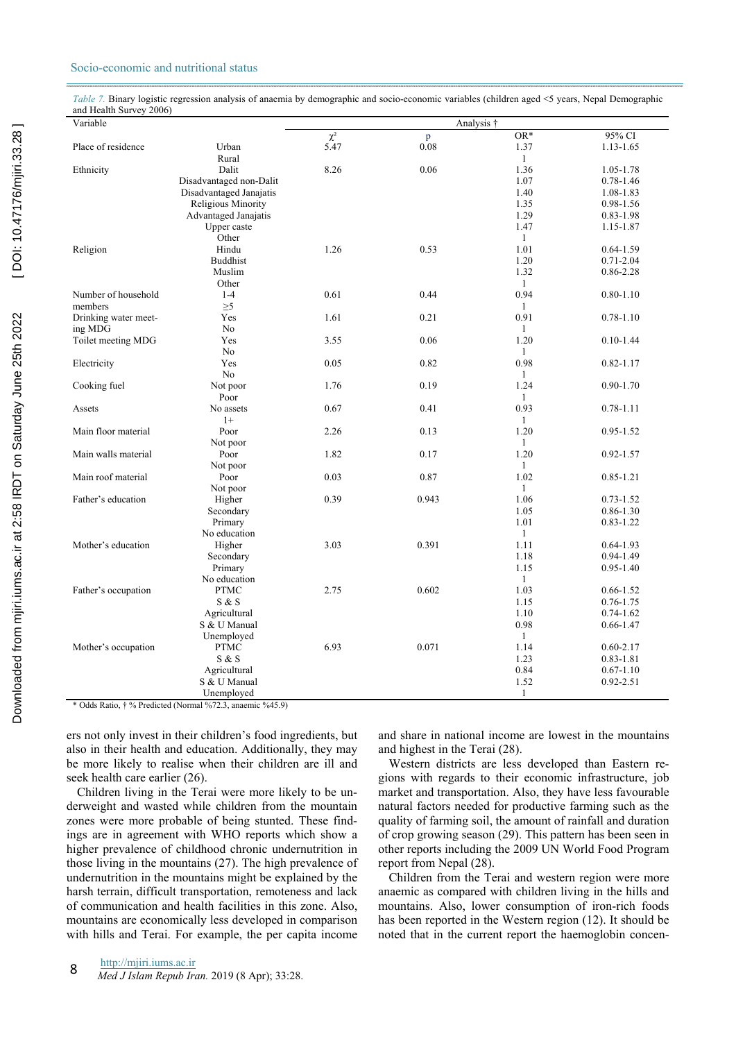## Socio-economic and nutritional status

*Table 7.* Binary logistic regression analysis of anaemia by demographic and socio-economic variables (children aged <5 years, Nepal Demographic and Health Survey 2006)

| Variable                                                     |                         | Analysis † |       |              |               |  |
|--------------------------------------------------------------|-------------------------|------------|-------|--------------|---------------|--|
|                                                              |                         | $\chi^2$   | p     | $OR*$        | 95% CI        |  |
| Place of residence                                           | Urban                   | 5.47       | 0.08  | 1.37         | $1.13 - 1.65$ |  |
|                                                              | Rural                   |            |       | 1            |               |  |
| Ethnicity                                                    | Dalit                   | 8.26       | 0.06  | 1.36         | 1.05-1.78     |  |
|                                                              | Disadvantaged non-Dalit |            |       | 1.07         | $0.78 - 1.46$ |  |
|                                                              | Disadvantaged Janajatis |            |       | 1.40         | 1.08-1.83     |  |
|                                                              | Religious Minority      |            |       | 1.35         | 0.98-1.56     |  |
|                                                              | Advantaged Janajatis    |            |       | 1.29         | $0.83 - 1.98$ |  |
|                                                              | Upper caste             |            |       | 1.47         | 1.15-1.87     |  |
|                                                              | Other                   |            |       | $\mathbf{1}$ |               |  |
| Religion                                                     | Hindu                   | 1.26       | 0.53  | 1.01         | $0.64 - 1.59$ |  |
|                                                              | <b>Buddhist</b>         |            |       | 1.20         | $0.71 - 2.04$ |  |
|                                                              | Muslim                  |            |       | 1.32         | 0.86-2.28     |  |
|                                                              | Other                   |            |       | $\mathbf{1}$ |               |  |
| Number of household                                          | $1 - 4$                 | 0.61       | 0.44  | 0.94         | $0.80 - 1.10$ |  |
| members                                                      | $\geq 5$                |            |       | $\mathbf{1}$ |               |  |
| Drinking water meet-                                         | Yes                     | 1.61       | 0.21  | 0.91         | $0.78 - 1.10$ |  |
| ing MDG                                                      | N <sub>0</sub>          |            |       | 1            |               |  |
| Toilet meeting MDG                                           | Yes                     | 3.55       | 0.06  | 1.20         | $0.10 - 1.44$ |  |
|                                                              | N <sub>0</sub>          |            |       | $\mathbf{1}$ |               |  |
| Electricity                                                  | Yes                     | 0.05       | 0.82  | 0.98         | $0.82 - 1.17$ |  |
|                                                              | No                      |            |       | $\mathbf{1}$ |               |  |
| Cooking fuel                                                 | Not poor                | 1.76       | 0.19  | 1.24         | $0.90 - 1.70$ |  |
|                                                              | Poor                    |            |       | 1            |               |  |
| Assets                                                       | No assets               | 0.67       | 0.41  | 0.93         | $0.78 - 1.11$ |  |
|                                                              | $1+$                    |            |       | $\mathbf{1}$ |               |  |
| Main floor material                                          | Poor                    | 2.26       | 0.13  | 1.20         | $0.95 - 1.52$ |  |
|                                                              |                         |            |       |              |               |  |
|                                                              | Not poor                |            |       | $\mathbf{1}$ |               |  |
| Main walls material                                          | Poor                    | 1.82       | 0.17  | 1.20         | $0.92 - 1.57$ |  |
|                                                              | Not poor                |            |       | $\mathbf{1}$ |               |  |
| Main roof material                                           | Poor                    | 0.03       | 0.87  | 1.02         | $0.85 - 1.21$ |  |
|                                                              | Not poor                |            |       | $\mathbf{1}$ |               |  |
| Father's education                                           | Higher                  | 0.39       | 0.943 | 1.06         | $0.73 - 1.52$ |  |
|                                                              | Secondary               |            |       | 1.05         | $0.86 - 1.30$ |  |
|                                                              | Primary                 |            |       | 1.01         | $0.83 - 1.22$ |  |
|                                                              | No education            |            |       | $\mathbf{1}$ |               |  |
| Mother's education                                           | Higher                  | 3.03       | 0.391 | 1.11         | $0.64 - 1.93$ |  |
|                                                              | Secondary               |            |       | 1.18         | $0.94 - 1.49$ |  |
|                                                              | Primary                 |            |       | 1.15         | $0.95 - 1.40$ |  |
|                                                              | No education            |            |       | $\mathbf{1}$ |               |  |
| Father's occupation                                          | <b>PTMC</b>             | 2.75       | 0.602 | 1.03         | $0.66 - 1.52$ |  |
|                                                              | S & S                   |            |       | 1.15         | $0.76 - 1.75$ |  |
|                                                              | Agricultural            |            |       | 1.10         | $0.74 - 1.62$ |  |
|                                                              | S & U Manual            |            |       | 0.98         | $0.66 - 1.47$ |  |
|                                                              | Unemployed              |            |       | $\mathbf{1}$ |               |  |
| Mother's occupation                                          | <b>PTMC</b>             | 6.93       | 0.071 | 1.14         | $0.60 - 2.17$ |  |
|                                                              | S & S                   |            |       | 1.23         | $0.83 - 1.81$ |  |
|                                                              | Agricultural            |            |       | 0.84         | $0.67 - 1.10$ |  |
|                                                              | S & U Manual            |            |       | 1.52         | $0.92 - 2.51$ |  |
|                                                              | Unemployed              |            |       | 1            |               |  |
| $\sim$ 0.11 m $\sim$<br>$\mathbf{r}$<br>$\ddot{\phantom{1}}$ | $4 - 0$                 |            |       |              |               |  |

\* Odds Ratio, † % Predicted (Normal %72.3, anaemic %45.9)

ers not only invest in their children's food ingredients, but also in their health and education. Additionally, they may be more likely to realise when their children are ill and seek health care earlier (26).

Children living in the Terai were more likely to be underweight and wasted while children from the mountain zones were more probable of being stunted. These findings are in agreement with WHO reports which show a higher prevalence of childhood chronic undernutrition in those living in the mountains (27). The high prevalence of undernutrition in the mountains might be explained by the harsh terrain, difficult transportation, remoteness and lack of communication and health facilities in this zone. Also, mountains are economically less developed in comparison with hills and Terai. For example, the per capita income

and share in national income are lowest in the mountains and highest in the Terai (28).

Western districts are less developed than Eastern regions with regards to their economic infrastructure, job market and transportation. Also, they have less favourable natural factors needed for productive farming such as the quality of farming soil, the amount of rainfall and duration of crop growing season (29). This pattern has been seen in other reports including the 2009 UN World Food Program report from Nepal (28).

Children from the Terai and western region were more anaemic as compared with children living in the hills and mountains. Also, lower consumption of iron-rich foods has been reported in the Western region (12). It should be noted that in the current report the haemoglobin concen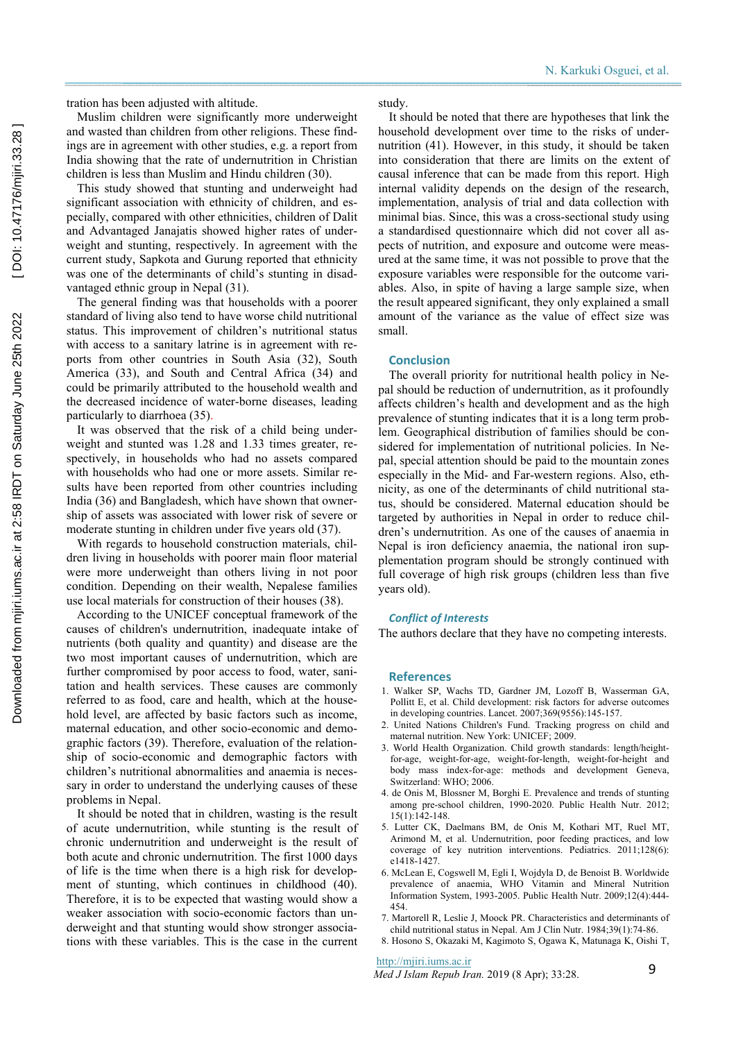tration has been adjusted with altitude.

Muslim children were significantly more underweight and wasted than children from other religions. These findings are in agreement with other studies, e.g. a report from India showing that the rate of undernutrition in Christian children is less than Muslim and Hindu children (30).

This study showed that stunting and underweight had significant association with ethnicity of children, and especially, compared with other ethnicities, children of Dalit and Advantaged Janajatis showed higher rates of underweight and stunting, respectively. In agreement with the current study, Sapkota and Gurung reported that ethnicity was one of the determinants of child's stunting in disadvantaged ethnic group in Nepal (31).

The general finding was that households with a poorer standard of living also tend to have worse child nutritional status. This improvement of children's nutritional status with access to a sanitary latrine is in agreement with reports from other countries in South Asia (32), South America (33), and South and Central Africa (34) and could be primarily attributed to the household wealth and the decreased incidence of water-borne diseases, leading particularly to diarrhoea (35).

It was observed that the risk of a child being underweight and stunted was 1.28 and 1.33 times greater, respectively, in households who had no assets compared with households who had one or more assets. Similar results have been reported from other countries including India (36) and Bangladesh, which have shown that ownership of assets was associated with lower risk of severe or moderate stunting in children under five years old (37).

With regards to household construction materials, children living in households with poorer main floor material were more underweight than others living in not poor condition. Depending on their wealth, Nepalese families use local materials for construction of their houses (38).

According to the UNICEF conceptual framework of the causes of children's undernutrition, inadequate intake of nutrients (both quality and quantity) and disease are the two most important causes of undernutrition, which are further compromised by poor access to food, water, sanitation and health services. These causes are commonly referred to as food, care and health, which at the household level, are affected by basic factors such as income, maternal education, and other socio-economic and demographic factors (39). Therefore, evaluation of the relationship of socio-economic and demographic factors with children's nutritional abnormalities and anaemia is necessary in order to understand the underlying causes of these problems in Nepal.

It should be noted that in children, wasting is the result of acute undernutrition, while stunting is the result of chronic undernutrition and underweight is the result of both acute and chronic undernutrition. The first 1000 days of life is the time when there is a high risk for development of stunting, which continues in childhood (40). Therefore, it is to be expected that wasting would show a weaker association with socio-economic factors than underweight and that stunting would show stronger associations with these variables. This is the case in the current study.

It should be noted that there are hypotheses that link the household development over time to the risks of undernutrition (41). However, in this study, it should be taken into consideration that there are limits on the extent of causal inference that can be made from this report. High internal validity depends on the design of the research, implementation, analysis of trial and data collection with minimal bias. Since, this was a cross-sectional study using a standardised questionnaire which did not cover all aspects of nutrition, and exposure and outcome were measured at the same time, it was not possible to prove that the exposure variables were responsible for the outcome variables. Also, in spite of having a large sample size, when the result appeared significant, they only explained a small amount of the variance as the value of effect size was small.

#### **Conclusion**

The overall priority for nutritional health policy in Nepal should be reduction of undernutrition, as it profoundly affects children's health and development and as the high prevalence of stunting indicates that it is a long term problem. Geographical distribution of families should be considered for implementation of nutritional policies. In Nepal, special attention should be paid to the mountain zones especially in the Mid- and Far-western regions. Also, ethnicity, as one of the determinants of child nutritional status, should be considered. Maternal education should be targeted by authorities in Nepal in order to reduce children's undernutrition. As one of the causes of anaemia in Nepal is iron deficiency anaemia, the national iron supplementation program should be strongly continued with full coverage of high risk groups (children less than five years old).

## *Conflict of Interests*

The authors declare that they have no competing interests.

#### **References**

- 1. Walker SP, Wachs TD, Gardner JM, Lozoff B, Wasserman GA, Pollitt E, et al. Child development: risk factors for adverse outcomes in developing countries. Lancet. 2007;369(9556):145-157.
- 2. United Nations Children's Fund. Tracking progress on child and maternal nutrition. New York: UNICEF; 2009.
- 3. World Health Organization. Child growth standards: length/heightfor-age, weight-for-age, weight-for-length, weight-for-height and body mass index-for-age: methods and development Geneva, Switzerland: WHO: 2006.
- 4. de Onis M, Blossner M, Borghi E. Prevalence and trends of stunting among pre-school children, 1990-2020. Public Health Nutr. 2012; 15(1):142-148.
- 5. Lutter CK, Daelmans BM, de Onis M, Kothari MT, Ruel MT, Arimond M, et al. Undernutrition, poor feeding practices, and low coverage of key nutrition interventions. Pediatrics. 2011;128(6): e1418-1427.
- 6. McLean E, Cogswell M, Egli I, Wojdyla D, de Benoist B. Worldwide prevalence of anaemia, WHO Vitamin and Mineral Nutrition Information System, 1993-2005. Public Health Nutr. 2009;12(4):444- 454.
- 7. Martorell R, Leslie J, Moock PR. Characteristics and determinants of child nutritional status in Nepal. Am J Clin Nutr. 1984;39(1):74-86.
- 8. Hosono S, Okazaki M, Kagimoto S, Ogawa K, Matunaga K, Oishi T,

http://mjiri.iums.ac.ir